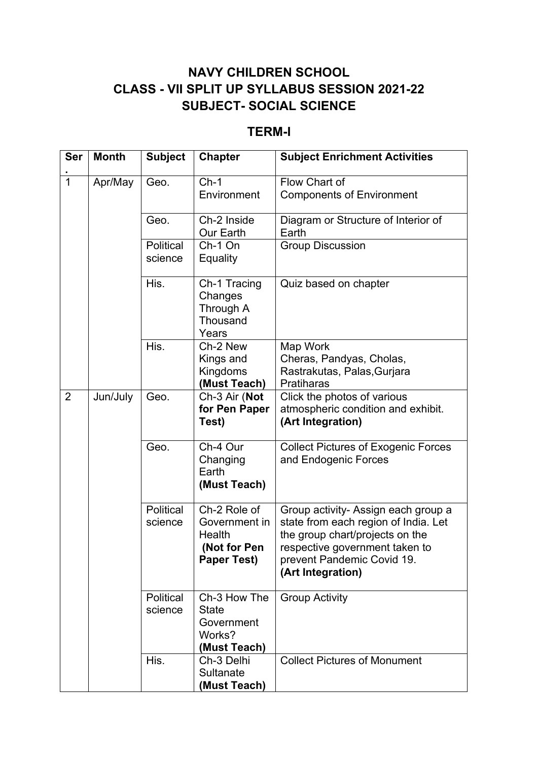## **NAVY CHILDREN SCHOOL CLASS - VII SPLIT UP SYLLABUS SESSION 2021-22 SUBJECT- SOCIAL SCIENCE**

## **TERM-I**

| <b>Ser</b>     | <b>Month</b> | <b>Subject</b>              | <b>Chapter</b>                                                                | <b>Subject Enrichment Activities</b>                                                                                                                                                                |
|----------------|--------------|-----------------------------|-------------------------------------------------------------------------------|-----------------------------------------------------------------------------------------------------------------------------------------------------------------------------------------------------|
| 1              | Apr/May      | Geo.                        | $Ch-1$<br>Environment                                                         | Flow Chart of<br><b>Components of Environment</b>                                                                                                                                                   |
|                |              | Geo.                        | Ch-2 Inside<br>Our Earth                                                      | Diagram or Structure of Interior of<br>Earth                                                                                                                                                        |
|                |              | Political<br>science        | Ch-1 On<br>Equality                                                           | <b>Group Discussion</b>                                                                                                                                                                             |
|                |              | His.                        | Ch-1 Tracing<br>Changes<br>Through A<br>Thousand<br>Years                     | Quiz based on chapter                                                                                                                                                                               |
|                |              | His.                        | Ch-2 New<br>Kings and<br>Kingdoms<br>(Must Teach)                             | Map Work<br>Cheras, Pandyas, Cholas,<br>Rastrakutas, Palas, Gurjara<br><b>Pratiharas</b>                                                                                                            |
| $\overline{2}$ | Jun/July     | Geo.                        | Ch-3 Air (Not<br>for Pen Paper<br>Test)                                       | Click the photos of various<br>atmospheric condition and exhibit.<br>(Art Integration)                                                                                                              |
|                |              | Geo.                        | Ch-4 Our<br>Changing<br>Earth<br>(Must Teach)                                 | <b>Collect Pictures of Exogenic Forces</b><br>and Endogenic Forces                                                                                                                                  |
|                |              | <b>Political</b><br>science | Ch-2 Role of<br>Government in<br>Health<br>(Not for Pen<br><b>Paper Test)</b> | Group activity- Assign each group a<br>state from each region of India. Let<br>the group chart/projects on the<br>respective government taken to<br>prevent Pandemic Covid 19.<br>(Art Integration) |
|                |              | Political<br>science        | Ch-3 How The<br><b>State</b><br>Government<br>Works?<br>(Must Teach)          | <b>Group Activity</b>                                                                                                                                                                               |
|                |              | His.                        | Ch-3 Delhi<br>Sultanate<br>(Must Teach)                                       | <b>Collect Pictures of Monument</b>                                                                                                                                                                 |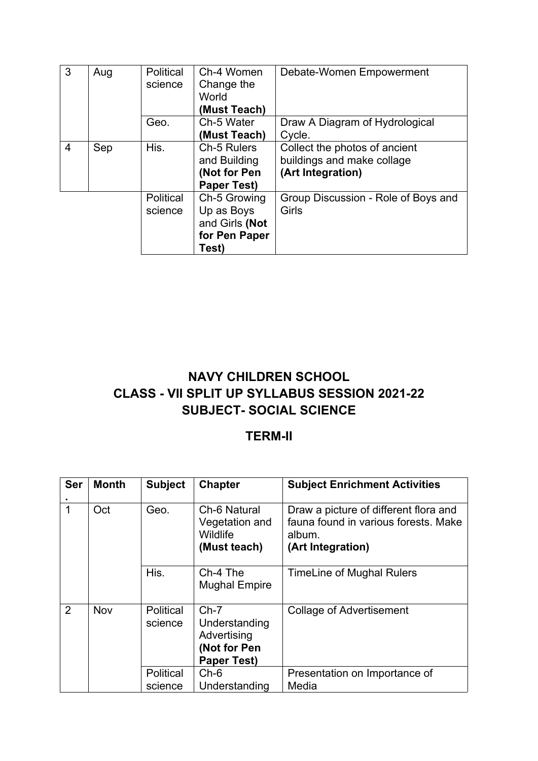| 3 | Aug | <b>Political</b><br>science | Ch-4 Women<br>Change the<br>World<br>(Must Teach) | Debate-Women Empowerment            |
|---|-----|-----------------------------|---------------------------------------------------|-------------------------------------|
|   |     | Geo.                        | Ch-5 Water                                        | Draw A Diagram of Hydrological      |
|   |     |                             | (Must Teach)                                      | Cycle.                              |
| 4 | Sep | His.                        | Ch-5 Rulers                                       | Collect the photos of ancient       |
|   |     |                             | and Building                                      | buildings and make collage          |
|   |     |                             | (Not for Pen                                      | (Art Integration)                   |
|   |     |                             | <b>Paper Test)</b>                                |                                     |
|   |     | Political                   | Ch-5 Growing                                      | Group Discussion - Role of Boys and |
|   |     | science                     | Up as Boys                                        | Girls                               |
|   |     |                             | and Girls (Not                                    |                                     |
|   |     |                             | for Pen Paper                                     |                                     |
|   |     |                             | Test)                                             |                                     |

## **NAVY CHILDREN SCHOOL CLASS - VII SPLIT UP SYLLABUS SESSION 2021-22 SUBJECT- SOCIAL SCIENCE**

## **TERM-II**

| Ser | <b>Month</b> | <b>Subject</b>       | <b>Chapter</b>                                                               | <b>Subject Enrichment Activities</b>                                                                         |
|-----|--------------|----------------------|------------------------------------------------------------------------------|--------------------------------------------------------------------------------------------------------------|
| 1   | Oct          | Geo.                 | Ch-6 Natural<br>Vegetation and<br>Wildlife<br>(Must teach)                   | Draw a picture of different flora and<br>fauna found in various forests. Make<br>album.<br>(Art Integration) |
|     |              | His.                 | Ch-4 The<br><b>Mughal Empire</b>                                             | <b>TimeLine of Mughal Rulers</b>                                                                             |
| 2   | Nov          | Political<br>science | $Ch-7$<br>Understanding<br>Advertising<br>(Not for Pen<br><b>Paper Test)</b> | <b>Collage of Advertisement</b>                                                                              |
|     |              | Political            | $Ch-6$                                                                       | Presentation on Importance of                                                                                |
|     |              | science              | Understanding                                                                | Media                                                                                                        |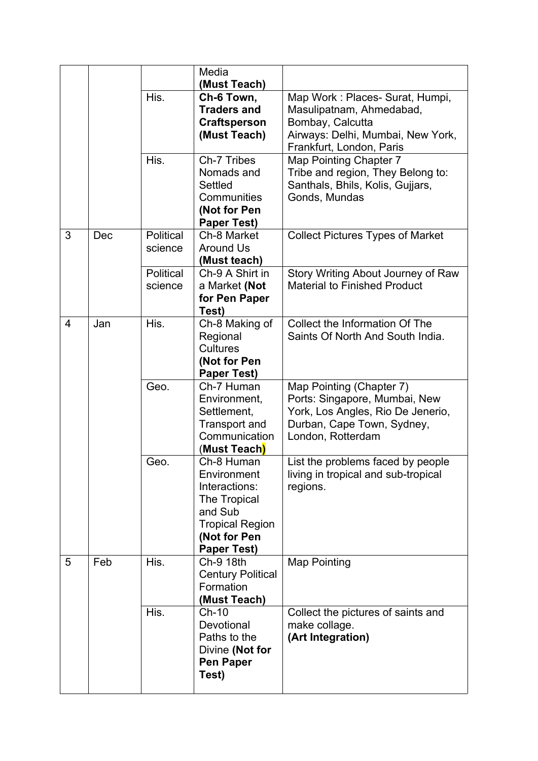|                |     |                      | Media<br>(Must Teach)                                                                                                                 |                                                                                                                                                   |
|----------------|-----|----------------------|---------------------------------------------------------------------------------------------------------------------------------------|---------------------------------------------------------------------------------------------------------------------------------------------------|
|                |     | His.                 | Ch-6 Town,<br><b>Traders and</b><br><b>Craftsperson</b><br>(Must Teach)                                                               | Map Work: Places- Surat, Humpi,<br>Masulipatnam, Ahmedabad,<br>Bombay, Calcutta<br>Airways: Delhi, Mumbai, New York,<br>Frankfurt, London, Paris  |
|                |     | His.                 | Ch-7 Tribes<br>Nomads and<br>Settled<br>Communities<br>(Not for Pen<br><b>Paper Test)</b>                                             | Map Pointing Chapter 7<br>Tribe and region, They Belong to:<br>Santhals, Bhils, Kolis, Gujjars,<br>Gonds, Mundas                                  |
| 3              | Dec | Political<br>science | Ch-8 Market<br><b>Around Us</b><br>(Must teach)                                                                                       | <b>Collect Pictures Types of Market</b>                                                                                                           |
|                |     | Political<br>science | Ch-9 A Shirt in<br>a Market (Not<br>for Pen Paper<br>Test)                                                                            | Story Writing About Journey of Raw<br><b>Material to Finished Product</b>                                                                         |
| $\overline{4}$ | Jan | His.                 | Ch-8 Making of<br>Regional<br><b>Cultures</b><br>(Not for Pen<br><b>Paper Test)</b>                                                   | Collect the Information Of The<br>Saints Of North And South India.                                                                                |
|                |     | Geo.                 | Ch-7 Human<br>Environment,<br>Settlement,<br><b>Transport and</b><br>Communication<br>(Must Teach)                                    | Map Pointing (Chapter 7)<br>Ports: Singapore, Mumbai, New<br>York, Los Angles, Rio De Jenerio,<br>Durban, Cape Town, Sydney,<br>London, Rotterdam |
|                |     | Geo.                 | Ch-8 Human<br>Environment<br>Interactions:<br>The Tropical<br>and Sub<br><b>Tropical Region</b><br>(Not for Pen<br><b>Paper Test)</b> | List the problems faced by people<br>living in tropical and sub-tropical<br>regions.                                                              |
| 5              | Feb | His.                 | Ch-9 18th<br><b>Century Political</b><br>Formation<br>(Must Teach)                                                                    | <b>Map Pointing</b>                                                                                                                               |
|                |     | His.                 | $Ch-10$<br>Devotional<br>Paths to the<br>Divine (Not for<br><b>Pen Paper</b><br>Test)                                                 | Collect the pictures of saints and<br>make collage.<br>(Art Integration)                                                                          |